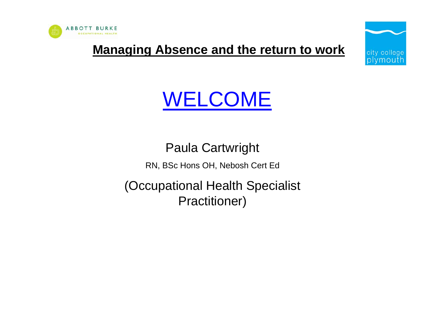

**Managing Absence and the return to work**



# WELCOME

Paula Cartwright RN, BSc Hons OH, Nebosh Cert Ed (Occupational Health Specialist Practitioner)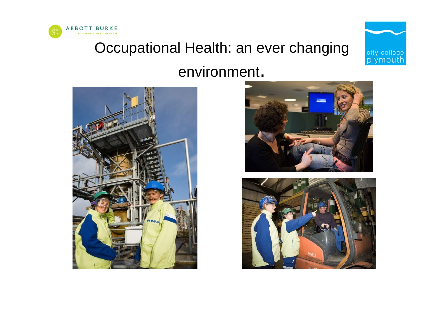

### Occupational Health: an ever changing



### environment.





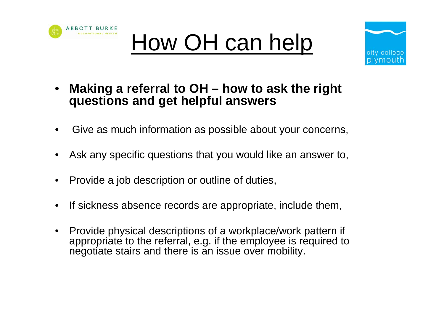





- **Making a referral to OH how to ask the right questions and get helpful answers**
- Give as much information as possible about your concerns,
- Ask any specific questions that you would like an answer to,
- Provide a job description or outline of duties,
- If sickness absence records are appropriate, include them,
- Provide physical descriptions of a workplace/work pattern if appropriate to the referral, e.g. if the employee is required to negotiate stairs and there is an issue over mobility.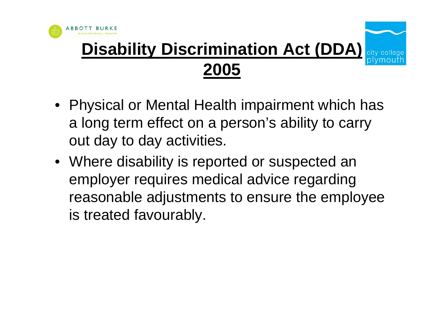

### **Disability Discrimination Act (DDA) 2005**

- Physical or Mental Health impairment which has a long term effect on a person's ability to carry out day to day activities.
- Where disability is reported or suspected an employer requires medical advice regarding reasonable adjustments to ensure the employee is treated favourably.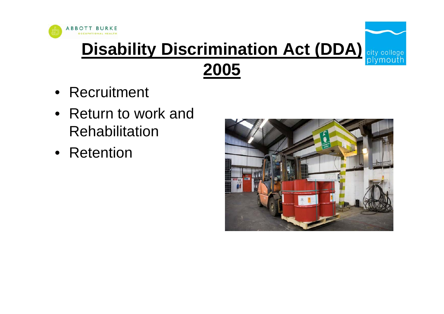

## **Disability Discrimination Act (DDA) City college 2005**

- Recruitment
- Return to work and Rehabilitation
- Retention

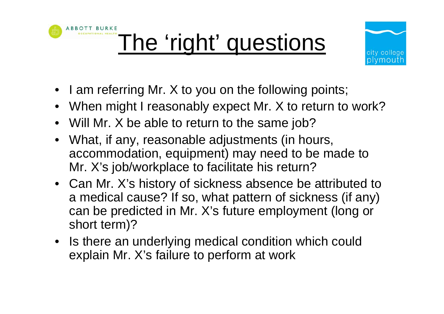



- I am referring Mr. X to you on the following points;
- When might I reasonably expect Mr. X to return to work?
- Will Mr. X be able to return to the same job?
- What, if any, reasonable adjustments (in hours, accommodation, equipment) may need to be made to Mr. X's job/workplace to facilitate his return?
- Can Mr. X's history of sickness absence be attributed to a medical cause? If so, what pattern of sickness (if any) can be predicted in Mr. X's future employment (long or short term)?
- Is there an underlying medical condition which could explain Mr. X's failure to perform at work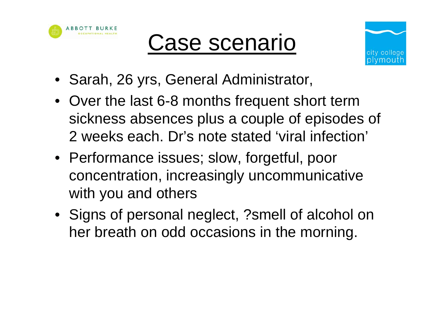





- Sarah, 26 yrs, General Administrator,
- Over the last 6-8 months frequent short term sickness absences plus a couple of episodes of 2 weeks each. Dr's note stated 'viral infection'
- Performance issues; slow, forgetful, poor concentration, increasingly uncommunicative with you and others
- Signs of personal neglect, ?smell of alcohol on her breath on odd occasions in the morning.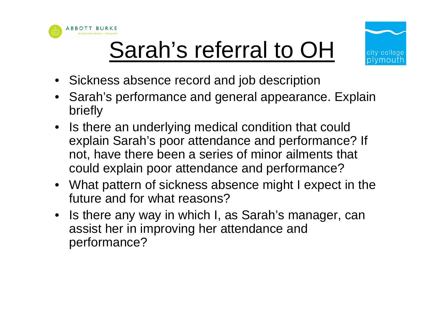





- Sickness absence record and job description
- Sarah's performance and general appearance. Explain briefly
- Is there an underlying medical condition that could explain Sarah's poor attendance and performance? If not, have there been a series of minor ailments that could explain poor attendance and performance?
- What pattern of sickness absence might I expect in the future and for what reasons?
- Is there any way in which I, as Sarah's manager, can assist her in improving her attendance and performance?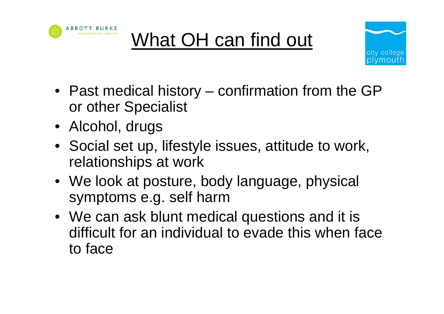





- Past medical history confirmation from the GP or other Specialist
- Alcohol, drugs
- Social set up, lifestyle issues, attitude to work, relationships at work
- We look at posture, body language, physical symptoms e.g. self harm
- We can ask blunt medical questions and it is difficult for an individual to evade this when face to face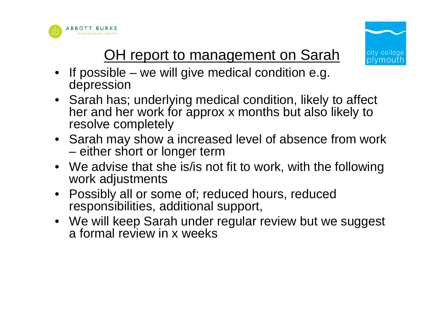



### OH report to management on Sarah

- If possible we will give medical condition e.g. depression
- Sarah has; underlying medical condition, likely to affect her and her work for approx x months but also likely to resolve completely
- Sarah may show a increased level of absence from work – either short or longer term
- We advise that she is/is not fit to work, with the following work adjustments
- Possibly all or some of; reduced hours, reduced responsibilities, additional support,
- We will keep Sarah under regular review but we suggest a formal review in x weeks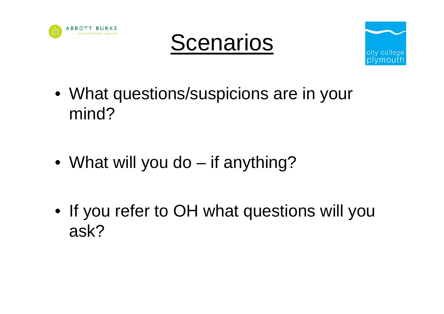





- What questions/suspicions are in your mind?
- What will you do if anything?
- If you refer to OH what questions will you ask?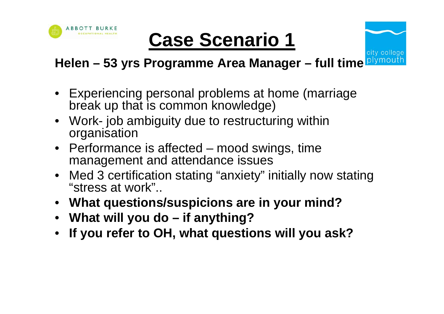

# **Case Scenario 1**

#### plymo **Helen – 53 yrs Programme Area Manager – full time**

city colle

- Experiencing personal problems at home (marriage break up that is common knowledge)
- Work- job ambiguity due to restructuring within organisation
- Performance is affected mood swings, time management and attendance issues
- Med 3 certification stating "anxiety" initially now stating "stress at work"..
- **What questions/suspicions are in your mind?**
- **What will you do if anything?**
- **If you refer to OH, what questions will you ask?**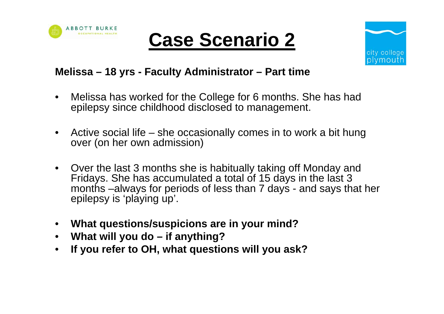





#### **Melissa – 18 yrs - Faculty Administrator – Part time**

- Melissa has worked for the College for 6 months. She has had epilepsy since childhood disclosed to management.
- Active social life she occasionally comes in to work a bit hung over (on her own admission)
- Over the last 3 months she is habitually taking off Monday and Fridays. She has accumulated a total of 15 days in the last 3 months –always for periods of less than 7 days - and says that her epilepsy is 'playing up'.
- **What questions/suspicions are in your mind?**
- **What will you do if anything?**
- **If you refer to OH, what questions will you ask?**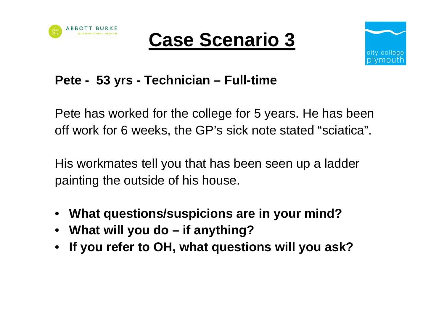





### **Pete - 53 yrs - Technician – Full-time**

Pete has worked for the college for 5 years. He has been off work for 6 weeks, the GP's sick note stated "sciatica".

His workmates tell you that has been seen up a ladder painting the outside of his house.

- **What questions/suspicions are in your mind?**
- **What will you do if anything?**
- **If you refer to OH, what questions will you ask?**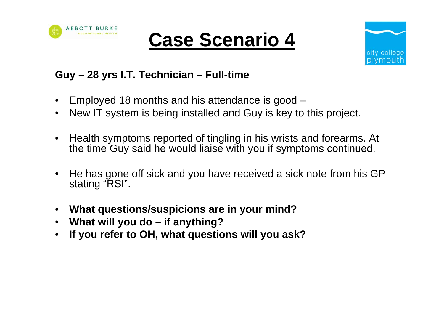





#### **Guy – 28 yrs I.T. Technician – Full-time**

- Employed 18 months and his attendance is good –
- New IT system is being installed and Guy is key to this project.
- Health symptoms reported of tingling in his wrists and forearms. At the time Guy said he would liaise with you if symptoms continued.
- He has gone off sick and you have received a sick note from his GP stating "RSI".
- **What questions/suspicions are in your mind?**
- **What will you do if anything?**
- **If you refer to OH, what questions will you ask?**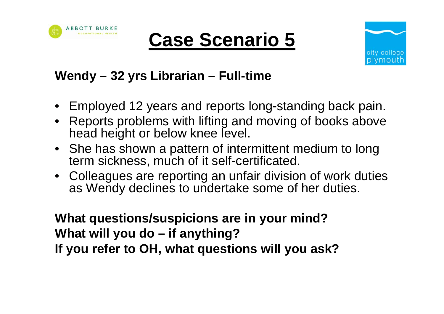

## **Case Scenario 5**



### **Wendy – 32 yrs Librarian – Full-time**

- Employed 12 years and reports long-standing back pain.
- Reports problems with lifting and moving of books above head height or below knee level.
- She has shown a pattern of intermittent medium to long term sickness, much of it self-certificated.
- Colleagues are reporting an unfair division of work duties as Wendy declines to undertake some of her duties.

**What questions/suspicions are in your mind? What will you do – if anything? If you refer to OH, what questions will you ask?**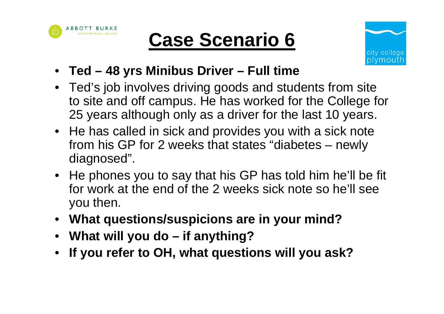

# **Case Scenario 6**



- **Ted 48 yrs Minibus Driver Full time**
- Ted's job involves driving goods and students from site to site and off campus. He has worked for the College for 25 years although only as a driver for the last 10 years.
- He has called in sick and provides you with a sick note from his GP for 2 weeks that states "diabetes – newly diagnosed".
- He phones you to say that his GP has told him he'll be fit for work at the end of the 2 weeks sick note so he'll see you then.
- **What questions/suspicions are in your mind?**
- **What will you do if anything?**
- **If you refer to OH, what questions will you ask?**